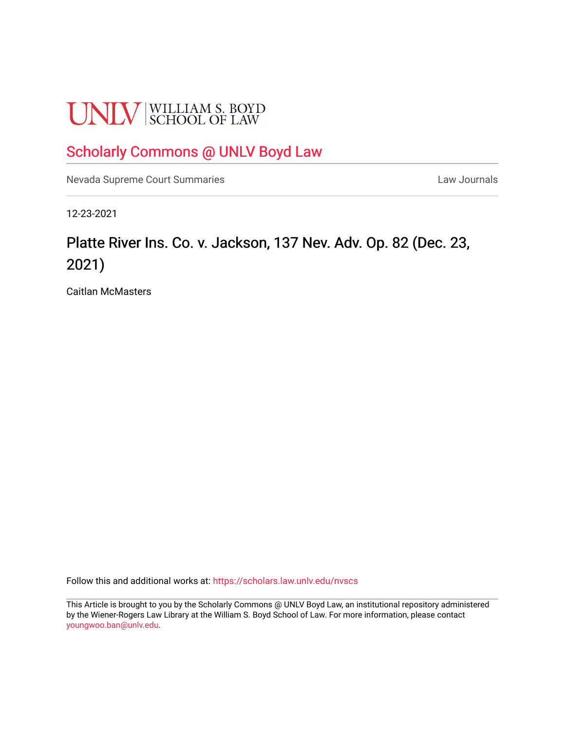# **UNLV** SCHOOL OF LAW

### [Scholarly Commons @ UNLV Boyd Law](https://scholars.law.unlv.edu/)

[Nevada Supreme Court Summaries](https://scholars.law.unlv.edu/nvscs) **Law Journals** Law Journals

12-23-2021

## Platte River Ins. Co. v. Jackson, 137 Nev. Adv. Op. 82 (Dec. 23, 2021)

Caitlan McMasters

Follow this and additional works at: [https://scholars.law.unlv.edu/nvscs](https://scholars.law.unlv.edu/nvscs?utm_source=scholars.law.unlv.edu%2Fnvscs%2F1471&utm_medium=PDF&utm_campaign=PDFCoverPages)

This Article is brought to you by the Scholarly Commons @ UNLV Boyd Law, an institutional repository administered by the Wiener-Rogers Law Library at the William S. Boyd School of Law. For more information, please contact [youngwoo.ban@unlv.edu.](mailto:youngwoo.ban@unlv.edu)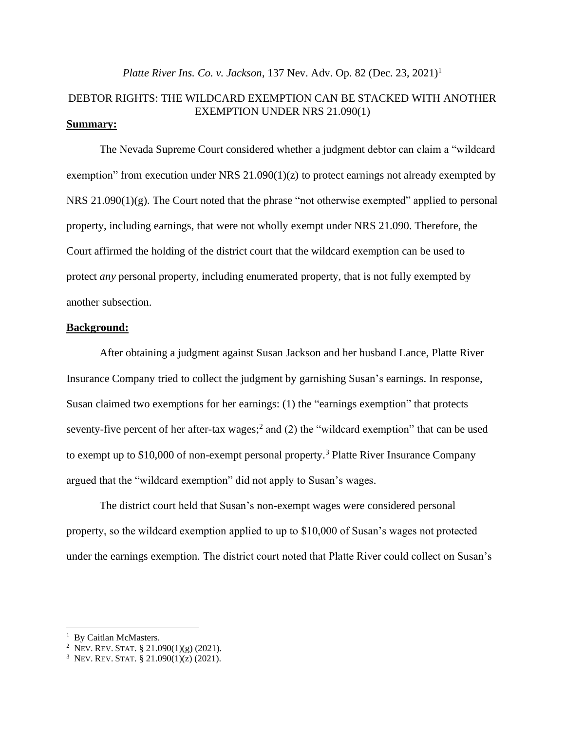#### *Platte River Ins. Co. v. Jackson*, 137 Nev. Adv. Op. 82 (Dec. 23, 2021)<sup>1</sup>

#### DEBTOR RIGHTS: THE WILDCARD EXEMPTION CAN BE STACKED WITH ANOTHER EXEMPTION UNDER NRS 21.090(1) **Summary:**

The Nevada Supreme Court considered whether a judgment debtor can claim a "wildcard exemption" from execution under NRS  $21.090(1)(z)$  to protect earnings not already exempted by NRS 21.090(1)(g). The Court noted that the phrase "not otherwise exempted" applied to personal property, including earnings, that were not wholly exempt under NRS 21.090. Therefore, the Court affirmed the holding of the district court that the wildcard exemption can be used to protect *any* personal property, including enumerated property, that is not fully exempted by another subsection.

#### **Background:**

After obtaining a judgment against Susan Jackson and her husband Lance, Platte River Insurance Company tried to collect the judgment by garnishing Susan's earnings. In response, Susan claimed two exemptions for her earnings: (1) the "earnings exemption" that protects seventy-five percent of her after-tax wages;<sup>2</sup> and (2) the "wildcard exemption" that can be used to exempt up to \$10,000 of non-exempt personal property. <sup>3</sup> Platte River Insurance Company argued that the "wildcard exemption" did not apply to Susan's wages.

The district court held that Susan's non-exempt wages were considered personal property, so the wildcard exemption applied to up to \$10,000 of Susan's wages not protected under the earnings exemption. The district court noted that Platte River could collect on Susan's

<sup>&</sup>lt;sup>1</sup> By Caitlan McMasters.

<sup>2</sup> NEV. REV.STAT. § 21.090(1)(g) (2021).

<sup>&</sup>lt;sup>3</sup> Nev. Rev. Stat. § 21.090(1)(z) (2021).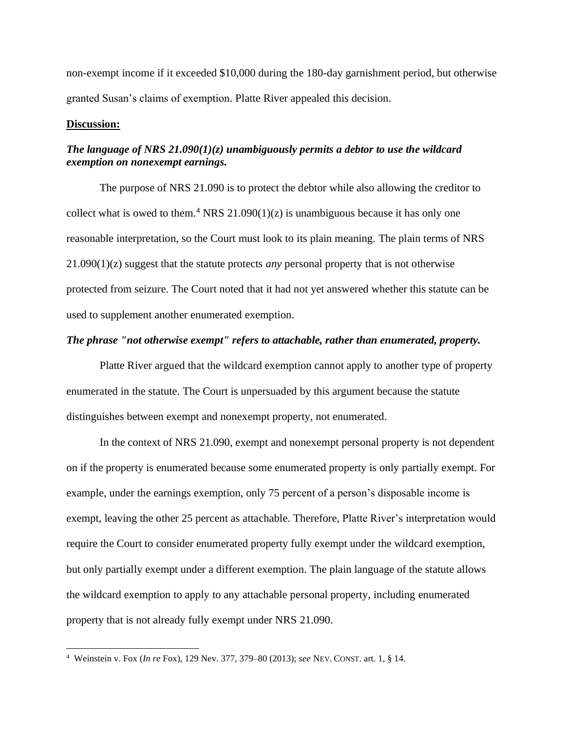non-exempt income if it exceeded \$10,000 during the 180-day garnishment period, but otherwise granted Susan's claims of exemption. Platte River appealed this decision.

#### **Discussion:**

#### *The language of NRS 21.090(1)(z) unambiguously permits a debtor to use the wildcard exemption on nonexempt earnings.*

The purpose of NRS 21.090 is to protect the debtor while also allowing the creditor to collect what is owed to them.<sup>4</sup> NRS 21.090(1)(z) is unambiguous because it has only one reasonable interpretation, so the Court must look to its plain meaning. The plain terms of NRS 21.090(1)(z) suggest that the statute protects *any* personal property that is not otherwise protected from seizure. The Court noted that it had not yet answered whether this statute can be used to supplement another enumerated exemption.

#### *The phrase "not otherwise exempt" refers to attachable, rather than enumerated, property.*

Platte River argued that the wildcard exemption cannot apply to another type of property enumerated in the statute. The Court is unpersuaded by this argument because the statute distinguishes between exempt and nonexempt property, not enumerated.

In the context of NRS 21.090, exempt and nonexempt personal property is not dependent on if the property is enumerated because some enumerated property is only partially exempt. For example, under the earnings exemption, only 75 percent of a person's disposable income is exempt, leaving the other 25 percent as attachable. Therefore, Platte River's interpretation would require the Court to consider enumerated property fully exempt under the wildcard exemption, but only partially exempt under a different exemption. The plain language of the statute allows the wildcard exemption to apply to any attachable personal property, including enumerated property that is not already fully exempt under NRS 21.090.

<sup>4</sup> Weinstein v. Fox (*In re* Fox), 129 Nev. 377, 379–80 (2013); *see* NEV. CONST. art. 1, § 14.